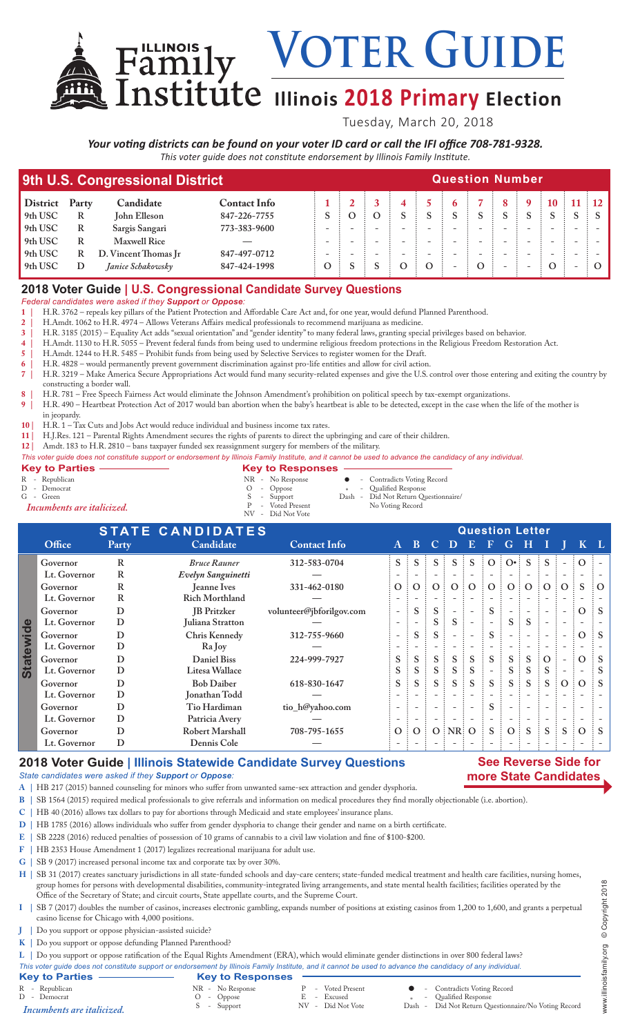VOTER GUIDE

# **ILLICE Illinois 2018 Primary Election**

Tuesday, March 20, 2018

## *Your voting districts can be found on your voter ID card or call the IFI office 708-781-9328.*

*This voter guide does not constitute endorsement by Illinois Family Institute.*

| 9th U.S. Congressional District | <b>Question Number</b> |                      |                     |    |  |           |  |  |  |  |   |  |    |  |         |
|---------------------------------|------------------------|----------------------|---------------------|----|--|-----------|--|--|--|--|---|--|----|--|---------|
| <b>District</b>                 | Party                  | Candidate            | <b>Contact Info</b> |    |  |           |  |  |  |  |   |  | 10 |  | 11 : 12 |
| 9th USC                         |                        | John Elleson         | 847-226-7755        |    |  | $\lambda$ |  |  |  |  | S |  |    |  |         |
| 9th USC                         | R                      | Sargis Sangari       | 773-383-9600        |    |  |           |  |  |  |  |   |  |    |  |         |
| 9th USC                         |                        | <b>Maxwell Rice</b>  |                     |    |  |           |  |  |  |  |   |  |    |  |         |
| 9th USC                         |                        | D. Vincent Thomas Ir | 847-497-0712        |    |  |           |  |  |  |  |   |  |    |  |         |
| 9th USC                         | D                      | Janice Schakowsky    | 847-424-1998        | O) |  |           |  |  |  |  |   |  |    |  |         |

## **2018 Voter Guide | U.S. Congressional Candidate Survey Questions**

#### *Federal candidates were asked if they Support or Oppose:*

**1 |** H.R. 3762 – repeals key pillars of the Patient Protection and Affordable Care Act and, for one year, would defund Planned Parenthood.

**2 |** H.Amdt. 1062 to H.R. 4974 – Allows Veterans Affairs medical professionals to recommend marijuana as medicine.

**3 |** H.R. 3185 (2015) – Equality Act adds "sexual orientation" and "gender identity" to many federal laws, granting special privileges based on behavior.

**4 |** H.Amdt. 1130 to H.R. 5055 – Prevent federal funds from being used to undermine religious freedom protections in the Religious Freedom Restoration Act.

**5 |** H.Amdt. 1244 to H.R. 5485 – Prohibit funds from being used by Selective Services to register women for the Draft.

**6 |** H.R. 4828 – would permanently prevent government discrimination against pro-life entities and allow for civil action. **7 |** H.R. 3219 – Make America Secure Appropriations Act would fund many security-related expenses and give the U.S. control over those entering and exiting the country by constructing a border wall.

**8 |** H.R. 781 – Free Speech Fairness Act would eliminate the Johnson Amendment's prohibition on political speech by tax-exempt organizations.

**9 |** H.R. 490 – Heartbeat Protection Act of 2017 would ban abortion when the baby's heartbeat is able to be detected, except in the case when the life of the mother is

- in jeopardy.
- 10 | H.R. 1 Tax Cuts and Jobs Act would reduce individual and business income tax rates.<br>11 | H.J. Res. 121 Parental Rights Amendment secures the rights of parents to direct the u

Family

**11 |** H.J.Res. 121 – Parental Rights Amendment secures the rights of parents to direct the upbringing and care of their children.

**12 |** Amdt. 183 to H.R. 2810 – bans taxpayer funded sex reassignment surgery for members of the military.

*This voter guide does not constitute support or endorsement by Illinois Family Institute, and it cannot be used to advance the candidacy of any individual.*

### **Key to Parties Key to Responses**

|                            | $\cdots$ , $\cdots$ . $\cdots$ , $\cdots$ |                                      |
|----------------------------|-------------------------------------------|--------------------------------------|
| R - Republican             | NR - No Response                          | • Contradicts Voting Record          |
| D - Democrat               | $O$ - Oppose                              | * - Qualified Response               |
| G - Green                  | S - Support                               | Dash - Did Not Return Questionnaire/ |
| Incumbents are italicized. | P - Voted Present                         | No Voting Record                     |
|                            | NV - Did Not Vote                         |                                      |

|              | <b>STATE CANDIDATES</b> |       |                       |                          | <b>Question Letter</b>   |                          |                     |                          |                          |           |                          |              |                          |                          |              |                 |
|--------------|-------------------------|-------|-----------------------|--------------------------|--------------------------|--------------------------|---------------------|--------------------------|--------------------------|-----------|--------------------------|--------------|--------------------------|--------------------------|--------------|-----------------|
|              | Office                  | Party | Candidate             | <b>Contact Info</b>      |                          | $A \quad B$              |                     | $C$ D                    | $\mathbf{E}$             | $\bullet$ | G                        | Н            |                          |                          |              | $K^{\top}L$     |
|              | Governor                | R     | <b>Bruce Rauner</b>   | 312-583-0704             | $S$ :                    | S.                       |                     | S.                       |                          | Ω         | $O^{\bullet}$ :          | S            |                          |                          |              |                 |
|              | Lt. Governor            | R     | Evelyn Sanguinetti    |                          |                          |                          |                     |                          |                          |           |                          |              |                          |                          |              |                 |
|              | Governor                | R     | <b>Jeanne Ives</b>    | 331-462-0180             | $\Omega$                 | O:                       | O:                  | O:O                      |                          | O:        | O:                       |              |                          | 0:0:0:                   | <sub>S</sub> | $\odot$         |
|              | Lt. Governor            | R     | <b>Rich Morthland</b> |                          |                          |                          |                     |                          |                          |           |                          |              |                          |                          |              |                 |
| Φ<br>ewid    | Governor                | D     | <b>JB</b> Pritzker    | volunteer@jbforilgov.com | $\overline{\phantom{a}}$ | S.                       | $S \nightharpoonup$ |                          | $\overline{\phantom{a}}$ | S         |                          |              |                          |                          | $\Omega$     | $\mathbf{S}$    |
|              | Lt. Governor            | D     | Juliana Stratton      |                          | $\overline{\phantom{a}}$ | $\overline{\phantom{a}}$ | $\mathbf{S}$ :      | <sub>S</sub>             |                          |           | S.                       | <sub>S</sub> | $\overline{\phantom{a}}$ | $\overline{\phantom{a}}$ |              |                 |
|              | Governor                | D     | Chris Kennedy         | 312-755-9660             | $\overline{\phantom{0}}$ | S                        | S:                  |                          |                          | S.        | $\overline{\phantom{0}}$ |              |                          | $\overline{\phantom{0}}$ | $\Omega$     | $\therefore$ S  |
|              | Lt. Governor            | D     | Ra Joy                |                          |                          |                          |                     |                          |                          |           |                          |              |                          |                          |              |                 |
| <b>State</b> | Governor                | D     | <b>Daniel Biss</b>    | 224-999-7927             | S                        | S                        | $S$ :               | S                        | S                        | $S^{\pm}$ | $S^{\pm}$                | S            | $\overline{O}$           |                          | $\Omega$     | $\therefore$ S  |
|              | Lt. Governor            | D     | Litesa Wallace        |                          | S                        | S                        | $S$ :               | S                        | S                        |           | $S \vdots$               | S            | <sub>S</sub>             |                          |              |                 |
|              | Governor                | D     | <b>Bob Daiber</b>     | 618-830-1647             | S                        | S                        | $S$ :               | S                        | <sub>S</sub>             | S.        | $S$ :                    | S            | S                        | $\vdots$ O               | $\Omega$     | $\frac{1}{2}$ S |
|              | Lt. Governor            | D     | Jonathan Todd         |                          |                          |                          |                     |                          |                          |           |                          |              |                          |                          |              |                 |
|              | Governor                | D     | Tio Hardiman          | tio_h@yahoo.com          | $\overline{\phantom{0}}$ |                          |                     |                          |                          | S         |                          |              |                          |                          |              |                 |
|              | Lt. Governor            | D     | Patricia Avery        |                          | $\overline{\phantom{0}}$ |                          |                     | $\overline{\phantom{a}}$ | $\overline{\phantom{a}}$ |           | $\overline{\phantom{a}}$ |              |                          |                          |              |                 |
|              | Governor                | D     | Robert Marshall       | 708-795-1655             | $\mathbf{O}$             | $\Omega$                 |                     | $O$ : NR: O              |                          | S         | O:                       | S            | S                        | S                        | O            | $\vdots$ S      |
|              | Lt. Governor            | D     | Dennis Cole           |                          |                          |                          |                     |                          |                          |           |                          |              |                          |                          |              |                 |

## **2018 Voter Guide | Illinois Statewide Candidate Survey Questions**

## **See Reverse Side for more State Candidates**

*State candidates were asked if they Support or Oppose:*

**A |** HB 217 (2015) banned counseling for minors who suffer from unwanted same-sex attraction and gender dysphoria.

- **B |** SB 1564 (2015) required medical professionals to give referrals and information on medical procedures they find morally objectionable (i.e. abortion).
- **C |** HB 40 (2016) allows tax dollars to pay for abortions through Medicaid and state employees' insurance plans.
- **D |** HB 1785 (2016) allows individuals who suffer from gender dysphoria to change their gender and name on a birth certificate.
- **E |** SB 2228 (2016) reduced penalties of possession of 10 grams of cannabis to a civil law violation and fine of \$100-\$200.
- **F |** HB 2353 House Amendment 1 (2017) legalizes recreational marijuana for adult use.
- **G |** SB 9 (2017) increased personal income tax and corporate tax by over 30%.

H | SB 31 (2017) creates sanctuary jurisdictions in all state-funded schools and day-care centers; state-funded medical treatment and health care facilities, nursing homes, group homes for persons with developmental disabilities, community-integrated living arrangements, and state mental health facilities; facilities operated by the Office of the Secretary of State; and circuit courts, State appellate courts, and the Supreme Court.

- **I |** SB 7 (2017) doubles the number of casinos, increases electronic gambling, expands number of positions at existing casinos from 1,200 to 1,600, and grants a perpetual casino license for Chicago with 4,000 positions.
- **J |** Do you support or oppose physician-assisted suicide?
- **K |** Do you support or oppose defunding Planned Parenthood?

**L |** Do you support or oppose ratification of the Equal Rights Amendment (ERA), which would eliminate gender distinctions in over 800 federal laws?

- 
- *This voter guide does not constitute support or endorsement by Illinois Family Institute, and it cannot be used to advance the candidacy of any individual.* **Key to Parties Key to Responses**<br>
R - Republican<br>
D - Democrat<br>
Incumbents are italicized.<br>
S - Support R - Voted Present **C** - Contradicts Voting Record<br>
R - Excused  $\ast$  - Qualified Response<br>
NR - Did Not Vote Dash - Did Not Return Questionn E - Excused<br>NV - Did Not Vote Did Not Return Questionnaire/No Voting Record *Incumbents are italicized.*